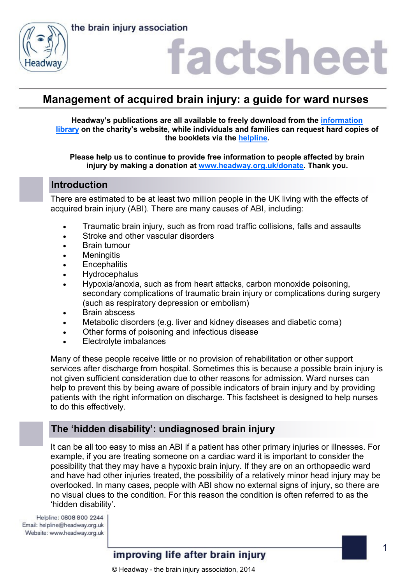the brain injury association



# **factshee**

# **Management of acquired brain injury: a guide for ward nurses**

**Headway's publications are all available to freely download from the [information](https://www.headway.org.uk/about-brain-injury/individuals/information-library/)  [library](https://www.headway.org.uk/about-brain-injury/individuals/information-library/) on the charity's website, while individuals and families can request hard copies of the booklets via the [helpline.](https://www.headway.org.uk/supporting-you/helpline/)**

**Please help us to continue to provide free information to people affected by brain injury by making a donation at [www.headway.org.uk/donate.](http://www.headway.org.uk/donate) Thank you.**

### **Introduction**

There are estimated to be at least two million people in the UK living with the effects of acquired brain injury (ABI). There are many causes of ABI, including:

- Traumatic brain injury, such as from road traffic collisions, falls and assaults
- Stroke and other vascular disorders
- Brain tumour
- Meningitis
- **•** Encephalitis
- Hydrocephalus
- Hypoxia/anoxia, such as from heart attacks, carbon monoxide poisoning, secondary complications of traumatic brain injury or complications during surgery (such as respiratory depression or embolism)
- Brain abscess
- Metabolic disorders (e.g. liver and kidney diseases and diabetic coma)
- Other forms of poisoning and infectious disease
- Electrolyte imbalances

Many of these people receive little or no provision of rehabilitation or other support services after discharge from hospital. Sometimes this is because a possible brain injury is not given sufficient consideration due to other reasons for admission. Ward nurses can help to prevent this by being aware of possible indicators of brain injury and by providing patients with the right information on discharge. This factsheet is designed to help nurses to do this effectively.

## **The 'hidden disability': undiagnosed brain injury**

It can be all too easy to miss an ABI if a patient has other primary injuries or illnesses. For example, if you are treating someone on a cardiac ward it is important to consider the possibility that they may have a hypoxic brain injury. If they are on an orthopaedic ward and have had other injuries treated, the possibility of a relatively minor head injury may be overlooked. In many cases, people with ABI show no external signs of injury, so there are no visual clues to the condition. For this reason the condition is often referred to as the 'hidden disability'.

Helpline: 0808 800 2244 Email: helpline@headway.org.uk Website: www.headway.org.uk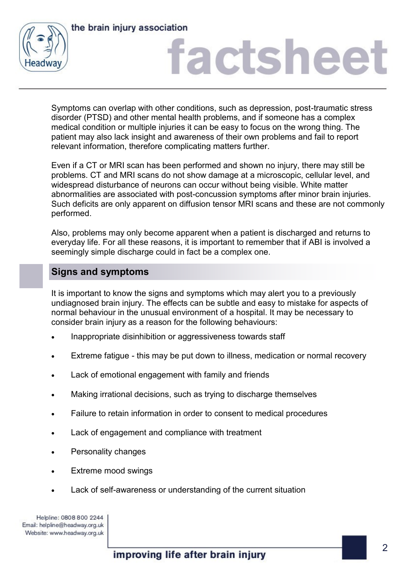



# **actshee**

Symptoms can overlap with other conditions, such as depression, post-traumatic stress disorder (PTSD) and other mental health problems, and if someone has a complex medical condition or multiple injuries it can be easy to focus on the wrong thing. The patient may also lack insight and awareness of their own problems and fail to report relevant information, therefore complicating matters further.

Even if a CT or MRI scan has been performed and shown no injury, there may still be problems. CT and MRI scans do not show damage at a microscopic, cellular level, and widespread disturbance of neurons can occur without being visible. White matter abnormalities are associated with post-concussion symptoms after minor brain injuries. Such deficits are only apparent on diffusion tensor MRI scans and these are not commonly performed.

Also, problems may only become apparent when a patient is discharged and returns to everyday life. For all these reasons, it is important to remember that if ABI is involved a seemingly simple discharge could in fact be a complex one.

## **Signs and symptoms**

It is important to know the signs and symptoms which may alert you to a previously undiagnosed brain injury. The effects can be subtle and easy to mistake for aspects of normal behaviour in the unusual environment of a hospital. It may be necessary to consider brain injury as a reason for the following behaviours:

- Inappropriate disinhibition or aggressiveness towards staff
- Extreme fatigue this may be put down to illness, medication or normal recovery
- Lack of emotional engagement with family and friends
- Making irrational decisions, such as trying to discharge themselves
- Failure to retain information in order to consent to medical procedures
- Lack of engagement and compliance with treatment
- Personality changes
- Extreme mood swings
- Lack of self-awareness or understanding of the current situation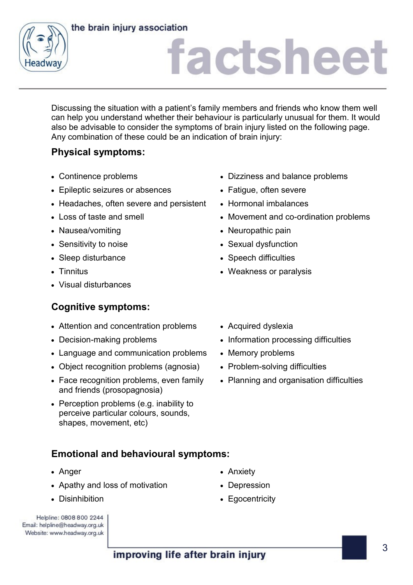### the brain injury association



# factsheet

Discussing the situation with a patient's family members and friends who know them well can help you understand whether their behaviour is particularly unusual for them. It would also be advisable to consider the symptoms of brain injury listed on the following page. Any combination of these could be an indication of brain injury:

# **Physical symptoms:**

- 
- Epileptic seizures or absences Fatigue, often severe
- Headaches, often severe and persistent Hormonal imbalances
- 
- Nausea/vomiting **National State of Australian Neuropathic pain**
- 
- Sleep disturbance **Superintensity** Speech difficulties
- 
- Visual disturbances

# **Cognitive symptoms:**

- Attention and concentration problems Acquired dyslexia
- 
- Language and communication problems Memory problems
- Object recognition problems (agnosia) Problem-solving difficulties
- Face recognition problems, even family and friends (prosopagnosia)
- Perception problems (e.g. inability to perceive particular colours, sounds, shapes, movement, etc)

# **Emotional and behavioural symptoms:**

- Anger **Anger Anxiety Anxiety**
- Apathy and loss of motivation Depression
- 

| Helpline: 0808 800 2244        |
|--------------------------------|
| Email: helpline@headway.org.uk |
| Website: www.headway.org.uk    |

- Continence problems  **Dizziness and balance problems** 
	-
	-
- Loss of taste and smell **Movement and co-ordination problems** 
	-
- Sensitivity to noise **Sexual dysfunction** Sexual dysfunction
	-
- Tinnitus **Victor** Tinnitus **Contract Contract Contract Contract Contract Contract Contract Contract Contract Contract Contract Contract Contract Contract Contract Contract Contract Contract Contract Contract Contract Con** 
	-
- Decision-making problems Information processing difficulties
	-
	-
	- Planning and organisation difficulties

- 
- 
- Disinhibition **Egocentricity Egocentricity**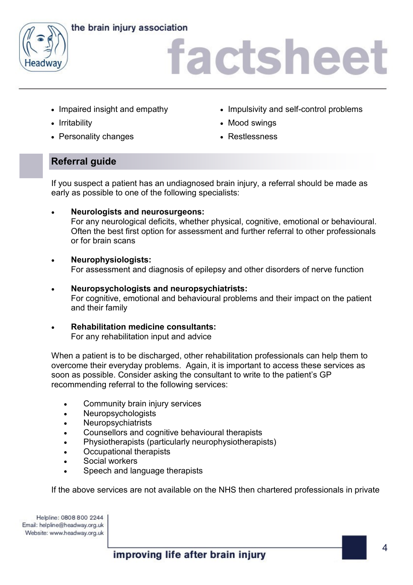



# factsheet

- 
- 
- Personality changes **Exercise Settlessness** Restlessness
- Impaired insight and empathy **IMPU** Impulsivity and self-control problems
- Irritability **Mood swings** Mood swings
	-

# **Referral guide**

If you suspect a patient has an undiagnosed brain injury, a referral should be made as early as possible to one of the following specialists:

- **Neurologists and neurosurgeons:** For any neurological deficits, whether physical, cognitive, emotional or behavioural. Often the best first option for assessment and further referral to other professionals or for brain scans
- **Neurophysiologists:** For assessment and diagnosis of epilepsy and other disorders of nerve function
- **Neuropsychologists and neuropsychiatrists:** For cognitive, emotional and behavioural problems and their impact on the patient and their family
- **Rehabilitation medicine consultants:** For any rehabilitation input and advice

When a patient is to be discharged, other rehabilitation professionals can help them to overcome their everyday problems. Again, it is important to access these services as soon as possible. Consider asking the consultant to write to the patient's GP recommending referral to the following services:

- Community brain injury services
- Neuropsychologists
- **Neuropsychiatrists**
- Counsellors and cognitive behavioural therapists
- Physiotherapists (particularly neurophysiotherapists)
- Occupational therapists
- Social workers
- Speech and language therapists

If the above services are not available on the NHS then chartered professionals in private

Helpline: 0808 800 2244 Email: helpline@headway.org.uk Website: www.headway.org.uk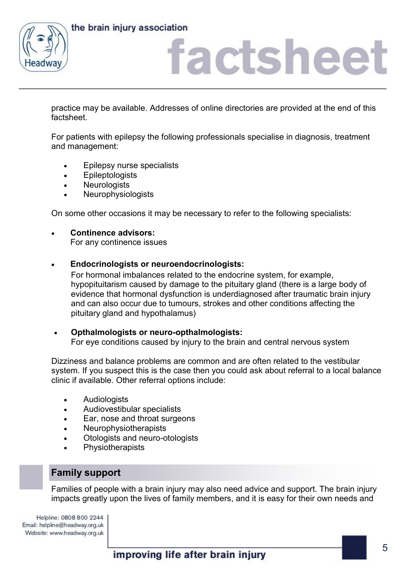



# actshee<sup>®</sup>

practice may be available. Addresses of online directories are provided at the end of this factsheet.

For patients with epilepsy the following professionals specialise in diagnosis, treatment and management:

- Epilepsy nurse specialists
- Epileptologists
- **Neurologists**
- **Neurophysiologists**

On some other occasions it may be necessary to refer to the following specialists:

- **Continence advisors:** For any continence issues
- **Endocrinologists or neuroendocrinologists:**

For hormonal imbalances related to the endocrine system, for example, hypopituitarism caused by damage to the pituitary gland (there is a large body of evidence that hormonal dysfunction is underdiagnosed after traumatic brain injury and can also occur due to tumours, strokes and other conditions affecting the pituitary gland and hypothalamus)

 **Opthalmologists or neuro-opthalmologists:** For eye conditions caused by injury to the brain and central nervous system

Dizziness and balance problems are common and are often related to the vestibular system. If you suspect this is the case then you could ask about referral to a local balance clinic if available. Other referral options include:

- **Audiologists**
- Audiovestibular specialists
- Ear, nose and throat surgeons
- Neurophysiotherapists
- Otologists and neuro-otologists
- **Physiotherapists**

## **Family support**

Families of people with a brain injury may also need advice and support. The brain injury impacts greatly upon the lives of family members, and it is easy for their own needs and

Helpline: 0808 800 2244 Email: helpline@headway.org.uk Website: www.headway.org.uk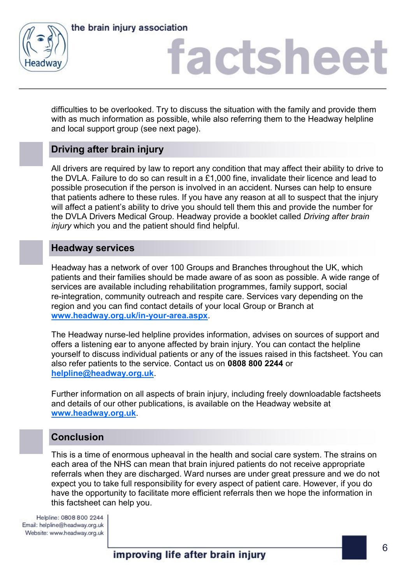



# factsheet

difficulties to be overlooked. Try to discuss the situation with the family and provide them with as much information as possible, while also referring them to the Headway helpline and local support group (see next page).

## **Driving after brain injury**

All drivers are required by law to report any condition that may affect their ability to drive to the DVLA. Failure to do so can result in a £1,000 fine, invalidate their licence and lead to possible prosecution if the person is involved in an accident. Nurses can help to ensure that patients adhere to these rules. If you have any reason at all to suspect that the injury will affect a patient's ability to drive you should tell them this and provide the number for the DVLA Drivers Medical Group. Headway provide a booklet called *Driving after brain injury* which you and the patient should find helpful.

### **Headway services**

Headway has a network of over 100 Groups and Branches throughout the UK, which patients and their families should be made aware of as soon as possible. A wide range of services are available including rehabilitation programmes, family support, social re-integration, community outreach and respite care. Services vary depending on the region and you can find contact details of your local Group or Branch at **[www.headway.org.uk/in-your-area.aspx](https://www.headway.org.uk/in-your-area.aspx)**.

The Headway nurse-led helpline provides information, advises on sources of support and offers a listening ear to anyone affected by brain injury. You can contact the helpline yourself to discuss individual patients or any of the issues raised in this factsheet. You can also refer patients to the service. Contact us on **0808 800 2244** or **[helpline@headway.org.uk](mailto:helpline@headway.org.uk)**.

Further information on all aspects of brain injury, including freely downloadable factsheets and details of our other publications, is available on the Headway website at **[www.headway.org.uk](https://www.headway.org.uk/home.aspx)**.

## **Conclusion**

This is a time of enormous upheaval in the health and social care system. The strains on each area of the NHS can mean that brain injured patients do not receive appropriate referrals when they are discharged. Ward nurses are under great pressure and we do not expect you to take full responsibility for every aspect of patient care. However, if you do have the opportunity to facilitate more efficient referrals then we hope the information in this factsheet can help you.

Helpline: 0808 800 2244 Email: helpline@headway.org.uk Website: www.headway.org.uk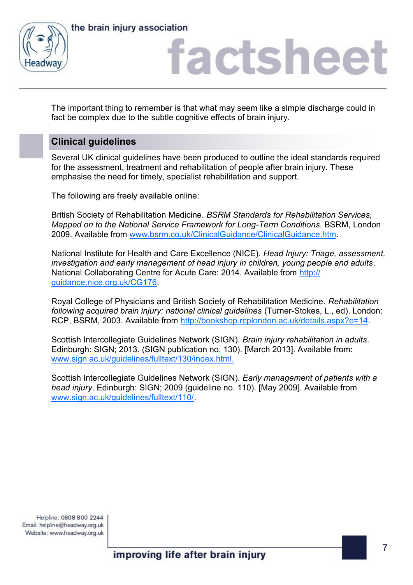



# factsheet

The important thing to remember is that what may seem like a simple discharge could in fact be complex due to the subtle cognitive effects of brain injury.

## **Clinical guidelines**

Several UK clinical guidelines have been produced to outline the ideal standards required for the assessment, treatment and rehabilitation of people after brain injury. These emphasise the need for timely, specialist rehabilitation and support.

The following are freely available online:

British Society of Rehabilitation Medicine. *BSRM Standards for Rehabilitation Services, Mapped on to the National Service Framework for Long-Term Conditions*. BSRM, London 2009. Available from [www.bsrm.co.uk/ClinicalGuidance/ClinicalGuidance.htm.](http://www.bsrm.co.uk/ClinicalGuidance/ClinicalGuidance.htm)

National Institute for Health and Care Excellence (NICE). *Head Injury: Triage, assessment, investigation and early management of head injury in children, young people and adults*. National Collaborating Centre for Acute Care: 2014. Available from [http://](http://guidance.nice.org.uk/CG56) [guidance.nice.org.uk/CG176.](http://guidance.nice.org.uk/CG56)

Royal College of Physicians and British Society of Rehabilitation Medicine. *Rehabilitation following acquired brain injury: national clinical guidelines* (Turner-Stokes, L., ed). London: RCP, BSRM, 2003. Available from [http://bookshop.rcplondon.ac.uk/details.aspx?e=14.](http://bookshop.rcplondon.ac.uk/details.aspx?e=14)

Scottish Intercollegiate Guidelines Network (SIGN). *Brain injury rehabilitation in adults*. Edinburgh: SIGN; 2013. (SIGN publication no. 130). [March 2013]. Available from: [www.sign.ac.uk/guidelines/fulltext/130/index.html.](http://www.sign.ac.uk/guidelines/fulltext/130/index.html)

Scottish Intercollegiate Guidelines Network (SIGN). *Early management of patients with a head injury*. Edinburgh: SIGN; 2009 (guideline no. 110). [May 2009]. Available from [www.sign.ac.uk/guidelines/fulltext/110/.](http://www.sign.ac.uk/guidelines/fulltext/110/)

Helpline: 0808 800 2244 Email: helpline@headway.org.uk Website: www.headway.org.uk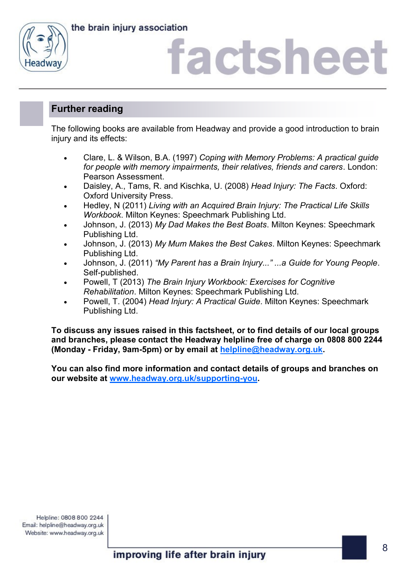the brain injury association



# actshee

## **Further reading**

The following books are available from Headway and provide a good introduction to brain injury and its effects:

- Clare, L. & Wilson, B.A. (1997) *Coping with Memory Problems: A practical guide for people with memory impairments, their relatives, friends and carers*. London: Pearson Assessment.
- Daisley, A., Tams, R. and Kischka, U. (2008) *Head Injury: The Facts*. Oxford: Oxford University Press.
- Hedley, N (2011) *Living with an Acquired Brain Injury: The Practical Life Skills Workbook*. Milton Keynes: Speechmark Publishing Ltd.
- Johnson, J. (2013) *My Dad Makes the Best Boats*. Milton Keynes: Speechmark Publishing Ltd.
- Johnson, J. (2013) *My Mum Makes the Best Cakes*. Milton Keynes: Speechmark Publishing Ltd.
- Johnson, J. (2011) *"My Parent has a Brain Injury..." ...a Guide for Young People*. Self-published.
- Powell, T (2013) *The Brain Injury Workbook: Exercises for Cognitive Rehabilitation*. Milton Keynes: Speechmark Publishing Ltd.
- Powell, T. (2004) *Head Injury: A Practical Guide*. Milton Keynes: Speechmark Publishing Ltd.

**To discuss any issues raised in this factsheet, or to find details of our local groups and branches, please contact the Headway helpline free of charge on 0808 800 2244 (Monday - Friday, 9am-5pm) or by email at [helpline@headway.org.uk.](mailto:helpline@headway.org.uk)** 

**You can also find more information and contact details of groups and branches on our website at [www.headway.org.uk/supporting-you.](https://www.headway.org.uk/supporting-you/in-your-area/groups-and-branches/)**